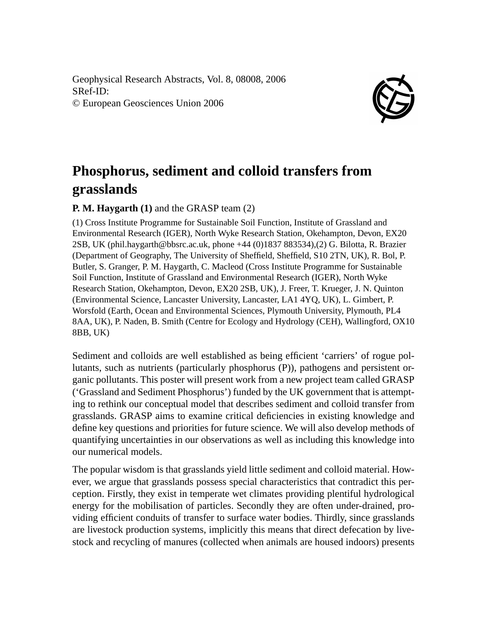Geophysical Research Abstracts, Vol. 8, 08008, 2006 SRef-ID: © European Geosciences Union 2006



## **Phosphorus, sediment and colloid transfers from grasslands**

## **P. M. Haygarth (1)** and the GRASP team (2)

(1) Cross Institute Programme for Sustainable Soil Function, Institute of Grassland and Environmental Research (IGER), North Wyke Research Station, Okehampton, Devon, EX20 2SB, UK (phil.haygarth@bbsrc.ac.uk, phone +44 (0)1837 883534),(2) G. Bilotta, R. Brazier (Department of Geography, The University of Sheffield, Sheffield, S10 2TN, UK), R. Bol, P. Butler, S. Granger, P. M. Haygarth, C. Macleod (Cross Institute Programme for Sustainable Soil Function, Institute of Grassland and Environmental Research (IGER), North Wyke Research Station, Okehampton, Devon, EX20 2SB, UK), J. Freer, T. Krueger, J. N. Quinton (Environmental Science, Lancaster University, Lancaster, LA1 4YQ, UK), L. Gimbert, P. Worsfold (Earth, Ocean and Environmental Sciences, Plymouth University, Plymouth, PL4 8AA, UK), P. Naden, B. Smith (Centre for Ecology and Hydrology (CEH), Wallingford, OX10 8BB, UK)

Sediment and colloids are well established as being efficient 'carriers' of rogue pollutants, such as nutrients (particularly phosphorus (P)), pathogens and persistent organic pollutants. This poster will present work from a new project team called GRASP ('Grassland and Sediment Phosphorus') funded by the UK government that is attempting to rethink our conceptual model that describes sediment and colloid transfer from grasslands. GRASP aims to examine critical deficiencies in existing knowledge and define key questions and priorities for future science. We will also develop methods of quantifying uncertainties in our observations as well as including this knowledge into our numerical models.

The popular wisdom is that grasslands yield little sediment and colloid material. However, we argue that grasslands possess special characteristics that contradict this perception. Firstly, they exist in temperate wet climates providing plentiful hydrological energy for the mobilisation of particles. Secondly they are often under-drained, providing efficient conduits of transfer to surface water bodies. Thirdly, since grasslands are livestock production systems, implicitly this means that direct defecation by livestock and recycling of manures (collected when animals are housed indoors) presents